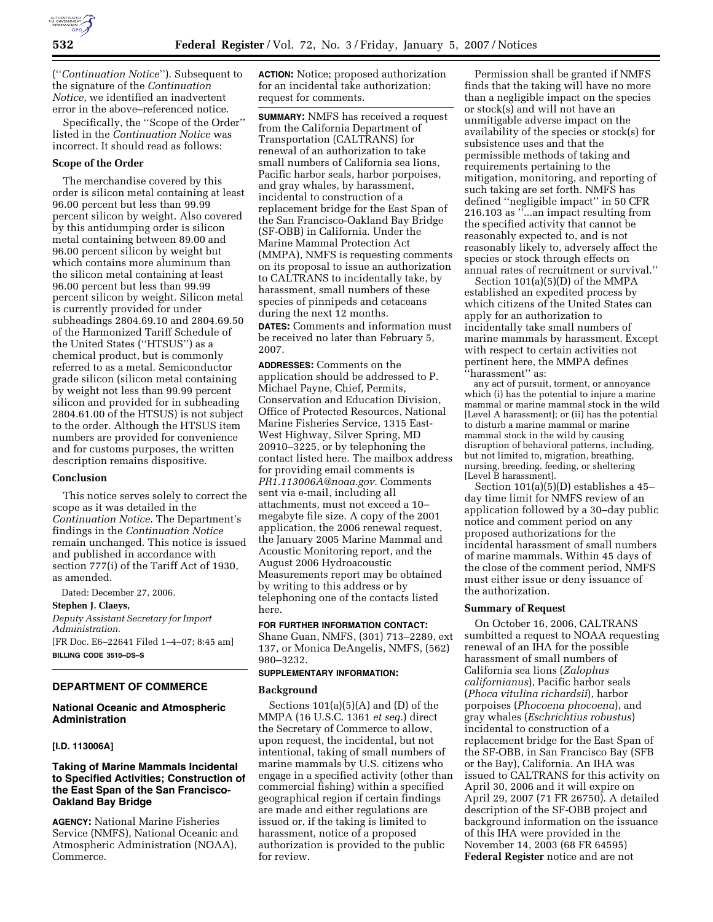

(''*Continuation Notice*''). Subsequent to the signature of the *Continuation Notice*, we identified an inadvertent error in the above–referenced notice.

Specifically, the ''Scope of the Order'' listed in the *Continuation Notice* was incorrect. It should read as follows:

### **Scope of the Order**

The merchandise covered by this order is silicon metal containing at least 96.00 percent but less than 99.99 percent silicon by weight. Also covered by this antidumping order is silicon metal containing between 89.00 and 96.00 percent silicon by weight but which contains more aluminum than the silicon metal containing at least 96.00 percent but less than 99.99 percent silicon by weight. Silicon metal is currently provided for under subheadings 2804.69.10 and 2804.69.50 of the Harmonized Tariff Schedule of the United States (''HTSUS'') as a chemical product, but is commonly referred to as a metal. Semiconductor grade silicon (silicon metal containing by weight not less than 99.99 percent silicon and provided for in subheading 2804.61.00 of the HTSUS) is not subject to the order. Although the HTSUS item numbers are provided for convenience and for customs purposes, the written description remains dispositive.

### **Conclusion**

This notice serves solely to correct the scope as it was detailed in the *Continuation Notice*. The Department's findings in the *Continuation Notice*  remain unchanged. This notice is issued and published in accordance with section 777(i) of the Tariff Act of 1930, as amended.

Dated: December 27, 2006.

**Stephen J. Claeys,**  *Deputy Assistant Secretary for Import Administration.*  [FR Doc. E6–22641 Filed 1–4–07; 8:45 am] **BILLING CODE 3510–DS–S** 

## **DEPARTMENT OF COMMERCE**

# **National Oceanic and Atmospheric Administration**

### **[I.D. 113006A]**

# **Taking of Marine Mammals Incidental to Specified Activities; Construction of the East Span of the San Francisco-Oakland Bay Bridge**

**AGENCY:** National Marine Fisheries Service (NMFS), National Oceanic and Atmospheric Administration (NOAA), Commerce.

**ACTION:** Notice; proposed authorization for an incidental take authorization; request for comments.

**SUMMARY:** NMFS has received a request from the California Department of Transportation (CALTRANS) for renewal of an authorization to take small numbers of California sea lions, Pacific harbor seals, harbor porpoises, and gray whales, by harassment, incidental to construction of a replacement bridge for the East Span of the San Francisco-Oakland Bay Bridge (SF-OBB) in California. Under the Marine Mammal Protection Act (MMPA), NMFS is requesting comments on its proposal to issue an authorization to CALTRANS to incidentally take, by harassment, small numbers of these species of pinnipeds and cetaceans during the next 12 months. **DATES:** Comments and information must be received no later than February 5,

**ADDRESSES:** Comments on the application should be addressed to P. Michael Payne, Chief, Permits, Conservation and Education Division, Office of Protected Resources, National Marine Fisheries Service, 1315 East-West Highway, Silver Spring, MD 20910–3225, or by telephoning the contact listed here. The mailbox address for providing email comments is *PR1.113006A@noaa.gov*. Comments sent via e-mail, including all attachments, must not exceed a 10– megabyte file size. A copy of the 2001 application, the 2006 renewal request, the January 2005 Marine Mammal and Acoustic Monitoring report, and the August 2006 Hydroacoustic Measurements report may be obtained by writing to this address or by telephoning one of the contacts listed here.

**FOR FURTHER INFORMATION CONTACT:**  Shane Guan, NMFS, (301) 713–2289, ext 137, or Monica DeAngelis, NMFS, (562) 980–3232.

### **SUPPLEMENTARY INFORMATION:**

#### **Background**

2007.

Sections  $101(a)(5)(A)$  and  $(D)$  of the MMPA (16 U.S.C. 1361 *et seq.*) direct the Secretary of Commerce to allow, upon request, the incidental, but not intentional, taking of small numbers of marine mammals by U.S. citizens who engage in a specified activity (other than commercial fishing) within a specified geographical region if certain findings are made and either regulations are issued or, if the taking is limited to harassment, notice of a proposed authorization is provided to the public for review.

Permission shall be granted if NMFS finds that the taking will have no more than a negligible impact on the species or stock(s) and will not have an unmitigable adverse impact on the availability of the species or stock(s) for subsistence uses and that the permissible methods of taking and requirements pertaining to the mitigation, monitoring, and reporting of such taking are set forth. NMFS has defined ''negligible impact'' in 50 CFR 216.103 as ''...an impact resulting from the specified activity that cannot be reasonably expected to, and is not reasonably likely to, adversely affect the species or stock through effects on annual rates of recruitment or survival.''

Section 101(a)(5)(D) of the MMPA established an expedited process by which citizens of the United States can apply for an authorization to incidentally take small numbers of marine mammals by harassment. Except with respect to certain activities not pertinent here, the MMPA defines<br>"harassment" as:

any act of pursuit, torment, or annoyance which (i) has the potential to injure a marine mammal or marine mammal stock in the wild [Level A harassment]; or (ii) has the potential to disturb a marine mammal or marine mammal stock in the wild by causing disruption of behavioral patterns, including, but not limited to, migration, breathing, nursing, breeding, feeding, or sheltering [Level B harassment].

Section 101(a)(5)(D) establishes a 45– day time limit for NMFS review of an application followed by a 30–day public notice and comment period on any proposed authorizations for the incidental harassment of small numbers of marine mammals. Within 45 days of the close of the comment period, NMFS must either issue or deny issuance of the authorization.

### **Summary of Request**

On October 16, 2006, CALTRANS sumbitted a request to NOAA requesting renewal of an IHA for the possible harassment of small numbers of California sea lions (*Zalophus californianus*), Pacific harbor seals (*Phoca vitulina richardsii*), harbor porpoises (*Phocoena phocoena*), and gray whales (*Eschrichtius robustus*) incidental to construction of a replacement bridge for the East Span of the SF-OBB, in San Francisco Bay (SFB or the Bay), California. An IHA was issued to CALTRANS for this activity on April 30, 2006 and it will expire on April 29, 2007 (71 FR 26750). A detailed description of the SF-OBB project and background information on the issuance of this IHA were provided in the November 14, 2003 (68 FR 64595) **Federal Register** notice and are not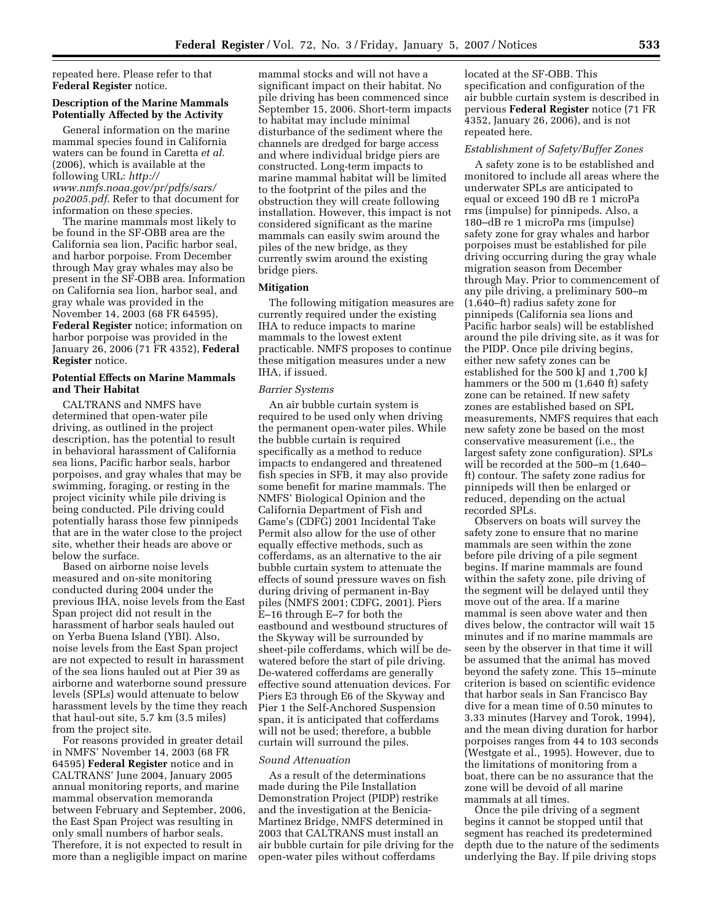repeated here. Please refer to that **Federal Register** notice.

# **Description of the Marine Mammals Potentially Affected by the Activity**

General information on the marine mammal species found in California waters can be found in Caretta *et al.*  (2006), which is available at the following URL: *http:// www.nmfs.noaa.gov/pr/pdfs/sars/ po2005.pdf*. Refer to that document for information on these species.

The marine mammals most likely to be found in the SF-OBB area are the California sea lion, Pacific harbor seal, and harbor porpoise. From December through May gray whales may also be present in the SF-OBB area. Information on California sea lion, harbor seal, and gray whale was provided in the November 14, 2003 (68 FR 64595), **Federal Register** notice; information on harbor porpoise was provided in the January 26, 2006 (71 FR 4352), **Federal Register** notice.

# **Potential Effects on Marine Mammals and Their Habitat**

CALTRANS and NMFS have determined that open-water pile driving, as outlined in the project description, has the potential to result in behavioral harassment of California sea lions, Pacific harbor seals, harbor porpoises, and gray whales that may be swimming, foraging, or resting in the project vicinity while pile driving is being conducted. Pile driving could potentially harass those few pinnipeds that are in the water close to the project site, whether their heads are above or below the surface.

Based on airborne noise levels measured and on-site monitoring conducted during 2004 under the previous IHA, noise levels from the East Span project did not result in the harassment of harbor seals hauled out on Yerba Buena Island (YBI). Also, noise levels from the East Span project are not expected to result in harassment of the sea lions hauled out at Pier 39 as airborne and waterborne sound pressure levels (SPLs) would attenuate to below harassment levels by the time they reach that haul-out site, 5.7 km (3.5 miles) from the project site.

For reasons provided in greater detail in NMFS' November 14, 2003 (68 FR 64595) **Federal Register** notice and in CALTRANS' June 2004, January 2005 annual monitoring reports, and marine mammal observation memoranda between February and September, 2006, the East Span Project was resulting in only small numbers of harbor seals. Therefore, it is not expected to result in more than a negligible impact on marine mammal stocks and will not have a significant impact on their habitat. No pile driving has been commenced since September 15, 2006. Short-term impacts to habitat may include minimal disturbance of the sediment where the channels are dredged for barge access and where individual bridge piers are constructed. Long-term impacts to marine mammal habitat will be limited to the footprint of the piles and the obstruction they will create following installation. However, this impact is not considered significant as the marine mammals can easily swim around the piles of the new bridge, as they currently swim around the existing bridge piers.

# **Mitigation**

The following mitigation measures are currently required under the existing IHA to reduce impacts to marine mammals to the lowest extent practicable. NMFS proposes to continue these mitigation measures under a new IHA, if issued.

### *Barrier Systems*

An air bubble curtain system is required to be used only when driving the permanent open-water piles. While the bubble curtain is required specifically as a method to reduce impacts to endangered and threatened fish species in SFB, it may also provide some benefit for marine mammals. The NMFS' Biological Opinion and the California Department of Fish and Game's (CDFG) 2001 Incidental Take Permit also allow for the use of other equally effective methods, such as cofferdams, as an alternative to the air bubble curtain system to attenuate the effects of sound pressure waves on fish during driving of permanent in-Bay piles (NMFS 2001; CDFG, 2001). Piers E–16 through E–7 for both the eastbound and westbound structures of the Skyway will be surrounded by sheet-pile cofferdams, which will be dewatered before the start of pile driving. De-watered cofferdams are generally effective sound attenuation devices. For Piers E3 through E6 of the Skyway and Pier 1 the Self-Anchored Suspension span, it is anticipated that cofferdams will not be used; therefore, a bubble curtain will surround the piles.

#### *Sound Attenuation*

As a result of the determinations made during the Pile Installation Demonstration Project (PIDP) restrike and the investigation at the Benicia-Martinez Bridge, NMFS determined in 2003 that CALTRANS must install an air bubble curtain for pile driving for the open-water piles without cofferdams

located at the SF-OBB. This specification and configuration of the air bubble curtain system is described in pervious **Federal Register** notice (71 FR 4352, January 26, 2006), and is not repeated here.

#### *Establishment of Safety/Buffer Zones*

A safety zone is to be established and monitored to include all areas where the underwater SPLs are anticipated to equal or exceed 190 dB re 1 microPa rms (impulse) for pinnipeds. Also, a 180–dB re 1 microPa rms (impulse) safety zone for gray whales and harbor porpoises must be established for pile driving occurring during the gray whale migration season from December through May. Prior to commencement of any pile driving, a preliminary 500–m (1,640–ft) radius safety zone for pinnipeds (California sea lions and Pacific harbor seals) will be established around the pile driving site, as it was for the PIDP. Once pile driving begins, either new safety zones can be established for the 500 kJ and 1,700 kJ hammers or the 500 m (1,640 ft) safety zone can be retained. If new safety zones are established based on SPL measurements, NMFS requires that each new safety zone be based on the most conservative measurement (i.e., the largest safety zone configuration). SPLs will be recorded at the 500–m (1,640– ft) contour. The safety zone radius for pinnipeds will then be enlarged or reduced, depending on the actual recorded SPLs.

Observers on boats will survey the safety zone to ensure that no marine mammals are seen within the zone before pile driving of a pile segment begins. If marine mammals are found within the safety zone, pile driving of the segment will be delayed until they move out of the area. If a marine mammal is seen above water and then dives below, the contractor will wait 15 minutes and if no marine mammals are seen by the observer in that time it will be assumed that the animal has moved beyond the safety zone. This 15–minute criterion is based on scientific evidence that harbor seals in San Francisco Bay dive for a mean time of 0.50 minutes to 3.33 minutes (Harvey and Torok, 1994), and the mean diving duration for harbor porpoises ranges from 44 to 103 seconds (Westgate et al., 1995). However, due to the limitations of monitoring from a boat, there can be no assurance that the zone will be devoid of all marine mammals at all times.

Once the pile driving of a segment begins it cannot be stopped until that segment has reached its predetermined depth due to the nature of the sediments underlying the Bay. If pile driving stops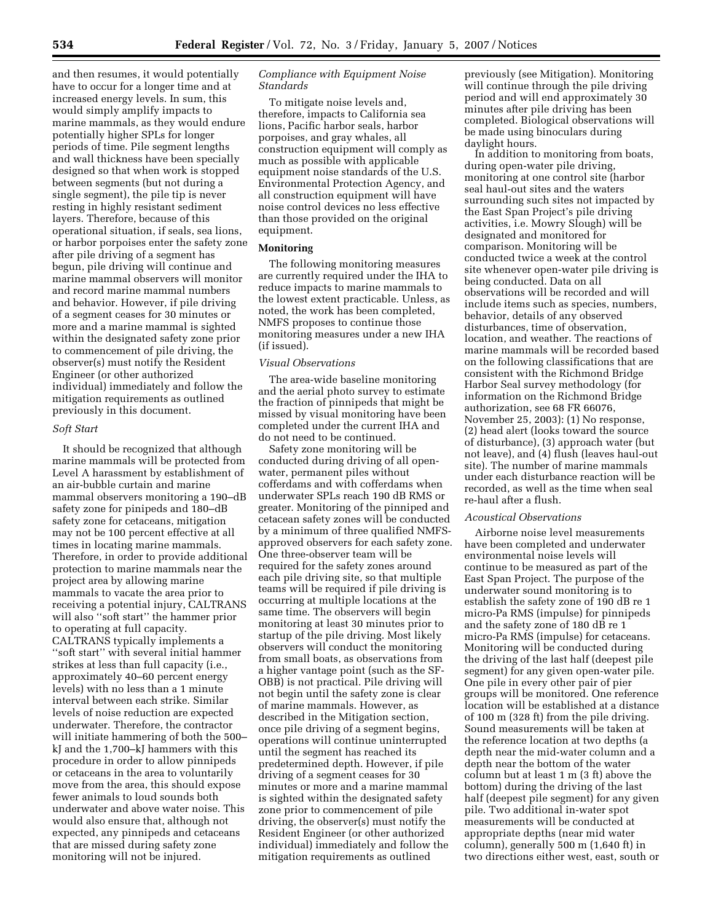and then resumes, it would potentially have to occur for a longer time and at increased energy levels. In sum, this would simply amplify impacts to marine mammals, as they would endure potentially higher SPLs for longer periods of time. Pile segment lengths and wall thickness have been specially designed so that when work is stopped between segments (but not during a single segment), the pile tip is never resting in highly resistant sediment layers. Therefore, because of this operational situation, if seals, sea lions, or harbor porpoises enter the safety zone after pile driving of a segment has begun, pile driving will continue and marine mammal observers will monitor and record marine mammal numbers and behavior. However, if pile driving of a segment ceases for 30 minutes or more and a marine mammal is sighted within the designated safety zone prior to commencement of pile driving, the observer(s) must notify the Resident Engineer (or other authorized individual) immediately and follow the mitigation requirements as outlined previously in this document.

## *Soft Start*

It should be recognized that although marine mammals will be protected from Level A harassment by establishment of an air-bubble curtain and marine mammal observers monitoring a 190–dB safety zone for pinipeds and 180–dB safety zone for cetaceans, mitigation may not be 100 percent effective at all times in locating marine mammals. Therefore, in order to provide additional protection to marine mammals near the project area by allowing marine mammals to vacate the area prior to receiving a potential injury, CALTRANS will also ''soft start'' the hammer prior to operating at full capacity. CALTRANS typically implements a ''soft start'' with several initial hammer strikes at less than full capacity (i.e., approximately 40–60 percent energy levels) with no less than a 1 minute interval between each strike. Similar levels of noise reduction are expected underwater. Therefore, the contractor will initiate hammering of both the 500– kJ and the 1,700–kJ hammers with this procedure in order to allow pinnipeds or cetaceans in the area to voluntarily move from the area, this should expose fewer animals to loud sounds both underwater and above water noise. This would also ensure that, although not expected, any pinnipeds and cetaceans that are missed during safety zone monitoring will not be injured.

# *Compliance with Equipment Noise Standards*

To mitigate noise levels and, therefore, impacts to California sea lions, Pacific harbor seals, harbor porpoises, and gray whales, all construction equipment will comply as much as possible with applicable equipment noise standards of the U.S. Environmental Protection Agency, and all construction equipment will have noise control devices no less effective than those provided on the original equipment.

### **Monitoring**

The following monitoring measures are currently required under the IHA to reduce impacts to marine mammals to the lowest extent practicable. Unless, as noted, the work has been completed, NMFS proposes to continue those monitoring measures under a new IHA (if issued).

# *Visual Observations*

The area-wide baseline monitoring and the aerial photo survey to estimate the fraction of pinnipeds that might be missed by visual monitoring have been completed under the current IHA and do not need to be continued.

Safety zone monitoring will be conducted during driving of all openwater, permanent piles without cofferdams and with cofferdams when underwater SPLs reach 190 dB RMS or greater. Monitoring of the pinniped and cetacean safety zones will be conducted by a minimum of three qualified NMFSapproved observers for each safety zone. One three-observer team will be required for the safety zones around each pile driving site, so that multiple teams will be required if pile driving is occurring at multiple locations at the same time. The observers will begin monitoring at least 30 minutes prior to startup of the pile driving. Most likely observers will conduct the monitoring from small boats, as observations from a higher vantage point (such as the SF-OBB) is not practical. Pile driving will not begin until the safety zone is clear of marine mammals. However, as described in the Mitigation section, once pile driving of a segment begins, operations will continue uninterrupted until the segment has reached its predetermined depth. However, if pile driving of a segment ceases for 30 minutes or more and a marine mammal is sighted within the designated safety zone prior to commencement of pile driving, the observer(s) must notify the Resident Engineer (or other authorized individual) immediately and follow the mitigation requirements as outlined

previously (see Mitigation). Monitoring will continue through the pile driving period and will end approximately 30 minutes after pile driving has been completed. Biological observations will be made using binoculars during daylight hours.

In addition to monitoring from boats, during open-water pile driving, monitoring at one control site (harbor seal haul-out sites and the waters surrounding such sites not impacted by the East Span Project's pile driving activities, i.e. Mowry Slough) will be designated and monitored for comparison. Monitoring will be conducted twice a week at the control site whenever open-water pile driving is being conducted. Data on all observations will be recorded and will include items such as species, numbers, behavior, details of any observed disturbances, time of observation, location, and weather. The reactions of marine mammals will be recorded based on the following classifications that are consistent with the Richmond Bridge Harbor Seal survey methodology (for information on the Richmond Bridge authorization, see 68 FR 66076, November 25, 2003): (1) No response, (2) head alert (looks toward the source of disturbance), (3) approach water (but not leave), and (4) flush (leaves haul-out site). The number of marine mammals under each disturbance reaction will be recorded, as well as the time when seal re-haul after a flush.

#### *Acoustical Observations*

Airborne noise level measurements have been completed and underwater environmental noise levels will continue to be measured as part of the East Span Project. The purpose of the underwater sound monitoring is to establish the safety zone of 190 dB re 1 micro-Pa RMS (impulse) for pinnipeds and the safety zone of 180 dB re 1 micro-Pa RMS (impulse) for cetaceans. Monitoring will be conducted during the driving of the last half (deepest pile segment) for any given open-water pile. One pile in every other pair of pier groups will be monitored. One reference location will be established at a distance of 100 m (328 ft) from the pile driving. Sound measurements will be taken at the reference location at two depths (a depth near the mid-water column and a depth near the bottom of the water column but at least 1 m (3 ft) above the bottom) during the driving of the last half (deepest pile segment) for any given pile. Two additional in-water spot measurements will be conducted at appropriate depths (near mid water column), generally 500 m (1,640 ft) in two directions either west, east, south or